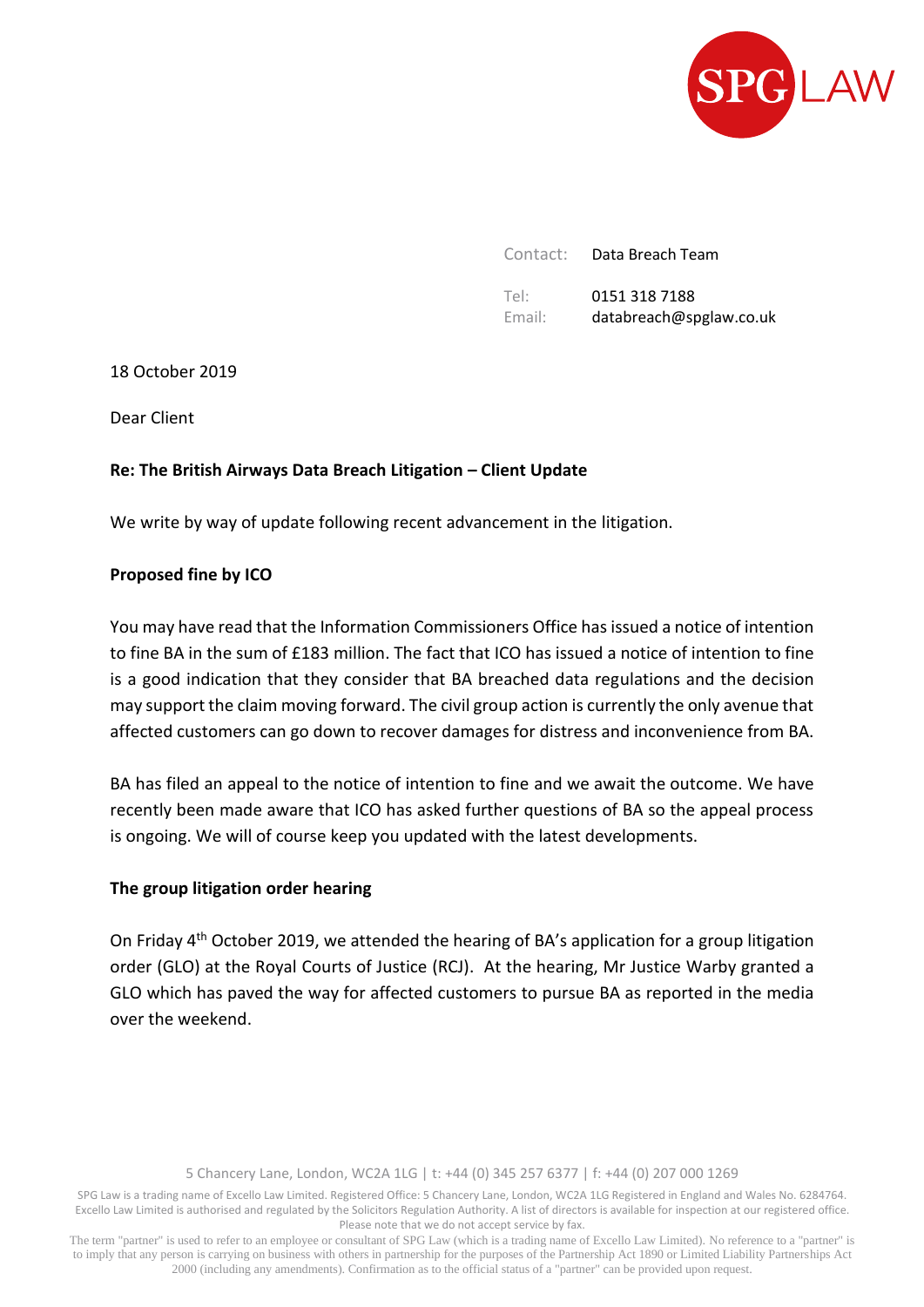

Contact: Data Breach Team Tel: Email: 0151 318 7188 databreach@spglaw.co.uk

18 October 2019

Dear Client

# **Re: The British Airways Data Breach Litigation – Client Update**

We write by way of update following recent advancement in the litigation.

### **Proposed fine by ICO**

You may have read that the Information Commissioners Office has issued a notice of intention to fine BA in the sum of £183 million. The fact that ICO has issued a notice of intention to fine is a good indication that they consider that BA breached data regulations and the decision may support the claim moving forward. The civil group action is currently the only avenue that affected customers can go down to recover damages for distress and inconvenience from BA.

BA has filed an appeal to the notice of intention to fine and we await the outcome. We have recently been made aware that ICO has asked further questions of BA so the appeal process is ongoing. We will of course keep you updated with the latest developments.

#### **The group litigation order hearing**

On Friday 4th October 2019, we attended the hearing of BA's application for a group litigation order (GLO) at the Royal Courts of Justice (RCJ). At the hearing, Mr Justice Warby granted a GLO which has paved the way for affected customers to pursue BA as reported in the media over the weekend.

5 Chancery Lane, London, WC2A 1LG | t: +44 (0) 345 257 6377 | f: +44 (0) 207 000 1269

SPG Law is a trading name of Excello Law Limited. Registered Office: 5 Chancery Lane, London, WC2A 1LG Registered in England and Wales No. 6284764. Excello Law Limited is authorised and regulated by the Solicitors Regulation Authority. A list of directors is available for inspection at our registered office. Please note that we do not accept service by fax.

The term "partner" is used to refer to an employee or consultant of SPG Law (which is a trading name of Excello Law Limited). No reference to a "partner" is to imply that any person is carrying on business with others in partnership for the purposes of the Partnership Act 1890 or Limited Liability Partnerships Act 2000 (including any amendments). Confirmation as to the official status of a "partner" can be provided upon request.